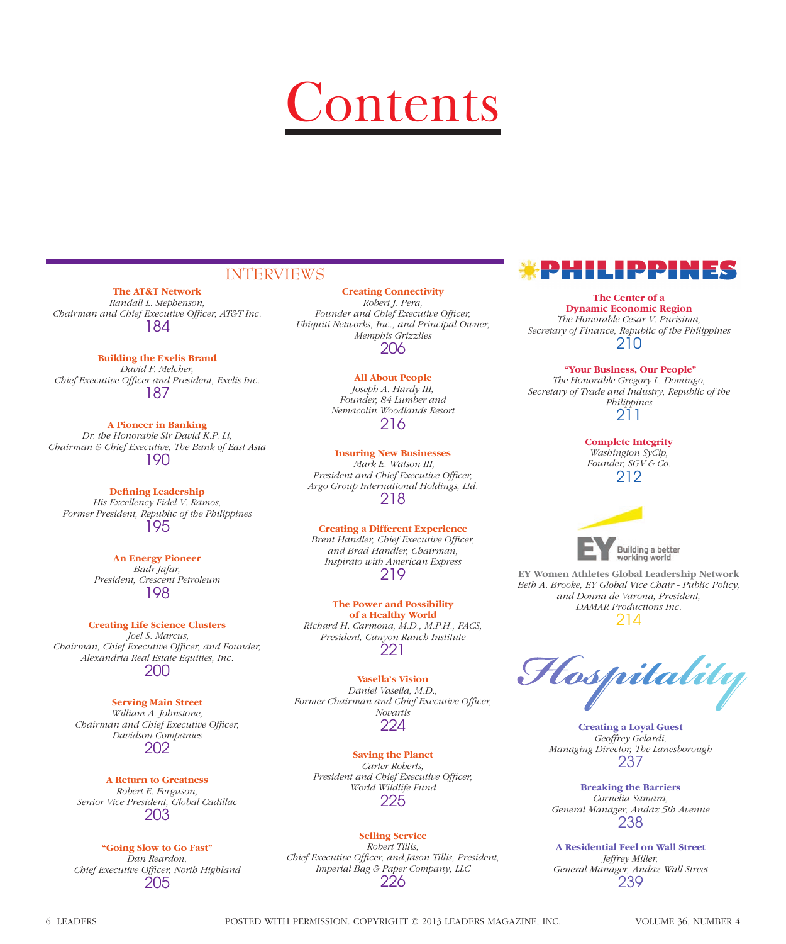# Contents

#### INTERVIEWS

**The AT&T Network** *Randall L. Stephenson, Chairman and Chief Executive Officer, AT&T Inc.* 184

**Building the Exelis Brand**

*David F. Melcher,*  Chief Executive Officer and President, Exelis Inc. 187

**A Pioneer in Banking** *Dr. the Honorable Sir David K.P. Li, Chairman & Chief Executive, The Bank of East Asia* 190

**Defining Leadership** *His Excellency Fidel V. Ramos, Former President, Republic of the Philippines* 195

> **An Energy Pioneer** *Badr Jafar, President, Crescent Petroleum* 198

**Creating Life Science Clusters**  *Joel S. Marcus, Chairman, Chief Executive Officer, and Founder, Alexandria Real Estate Equities, Inc.* 200

#### **Serving Main Street**

*William A. Johnstone, Chairman and Chief Executive Officer, Davidson Companies* 202

**A Return to Greatness** *Robert E. Ferguson, Senior Vice President, Global Cadillac* 203

#### **"Going Slow to Go Fast"**

*Dan Reardon,* **Chief Executive Officer, North Highland** 205

**Creating Connectivity** *Robert J. Pera,*  Founder and Chief Executive Officer, *Ubiquiti Networks, Inc., and Principal Owner, Memphis Grizzlies* 206

> **All About People** *Joseph A. Hardy III, Founder, 84 Lumber and Nemacolin Woodlands Resort* 216

**Insuring New Businesses**  *Mark E. Watson III,*  President and Chief Executive Officer, *Argo Group International Holdings, Ltd.* 218

**Creating a Different Experience Brent Handler, Chief Executive Officer,** *and Brad Handler, Chairman, Inspirato with American Express* 219

**The Power and Possibility of a Healthy World** *Richard H. Carmona, M.D., M.P.H., FACS, President, Canyon Ranch Institute* 221

**Vasella's Vision** *Daniel Vasella, M.D.,*  Former Chairman and Chief Executive Officer, *Novartis* 224

**Saving the Planet** *Carter Roberts,*  President and Chief Executive Officer, *World Wildlife Fund* 225

#### **Selling Service**

*Robert Tillis, Chief Executive Officer, and Jason Tillis, President, Imperial Bag & Paper Company, LLC* 226



**The Center of a Dynamic Economic Region** *The Honorable Cesar V. Purisima, Secretary of Finance, Republic of the Philippines* 210

 **"Your Business, Our People"** *The Honorable Gregory L. Domingo, Secretary of Trade and Industry, Republic of the Philippines*

211

**Complete Integrity** *Washington SyCip, Founder, SGV & Co.* 212



**EY Women Athletes Global Leadership Network** *Beth A. Brooke, EY Global Vice Chair - Public Policy, and Donna de Varona, President, DAMAR Productions Inc.*  214

Hospitality

**Creating a Loyal Guest** *Geoffrey Gelardi, Managing Director, The Lanesborough* 237

**Breaking the Barriers** *Cornelia Samara, General Manager, Andaz 5th Avenue* 238

**A Residential Feel on Wall Street** *Jeffrey Miller, General Manager, Andaz Wall Street* 239